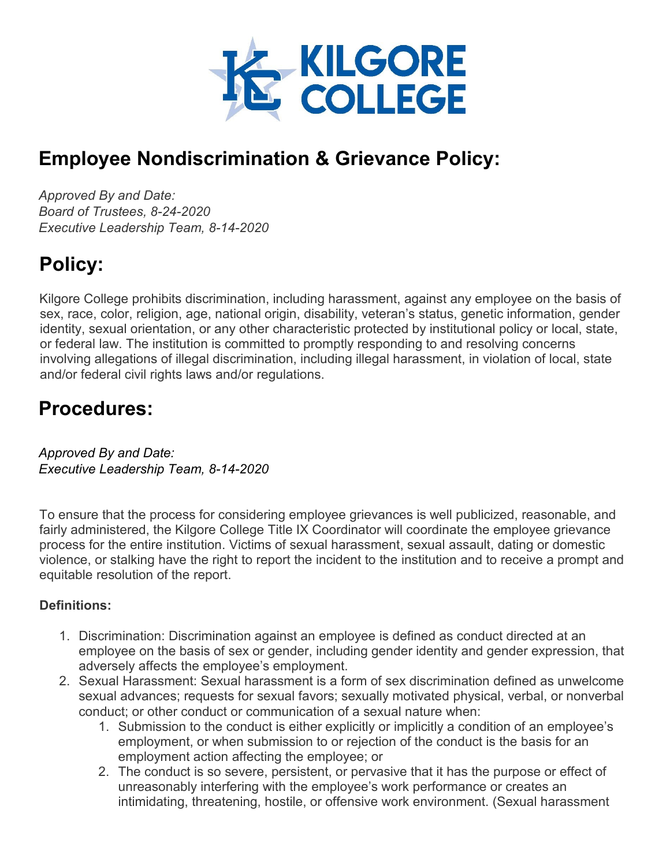

# **Employee Nondiscrimination & Grievance Policy:**

*Approved By and Date: Board of Trustees, 8-24-2020 Executive Leadership Team, 8-14-2020*

# **Policy:**

Kilgore College prohibits discrimination, including harassment, against any employee on the basis of sex, race, color, religion, age, national origin, disability, veteran's status, genetic information, gender identity, sexual orientation, or any other characteristic protected by institutional policy or local, state, or federal law. The institution is committed to promptly responding to and resolving concerns involving allegations of illegal discrimination, including illegal harassment, in violation of local, state and/or federal civil rights laws and/or regulations.

# **Procedures:**

*Approved By and Date: Executive Leadership Team, 8-14-2020* 

To ensure that the process for considering employee grievances is well publicized, reasonable, and fairly administered, the Kilgore College Title IX Coordinator will coordinate the employee grievance process for the entire institution. Victims of sexual harassment, sexual assault, dating or domestic violence, or stalking have the right to report the incident to the institution and to receive a prompt and equitable resolution of the report.

# **Definitions:**

- 1. Discrimination: Discrimination against an employee is defined as conduct directed at an employee on the basis of sex or gender, including gender identity and gender expression, that adversely affects the employee's employment.
- 2. Sexual Harassment: Sexual harassment is a form of sex discrimination defined as unwelcome sexual advances; requests for sexual favors; sexually motivated physical, verbal, or nonverbal conduct; or other conduct or communication of a sexual nature when:
	- 1. Submission to the conduct is either explicitly or implicitly a condition of an employee's employment, or when submission to or rejection of the conduct is the basis for an employment action affecting the employee; or
	- 2. The conduct is so severe, persistent, or pervasive that it has the purpose or effect of unreasonably interfering with the employee's work performance or creates an intimidating, threatening, hostile, or offensive work environment. (Sexual harassment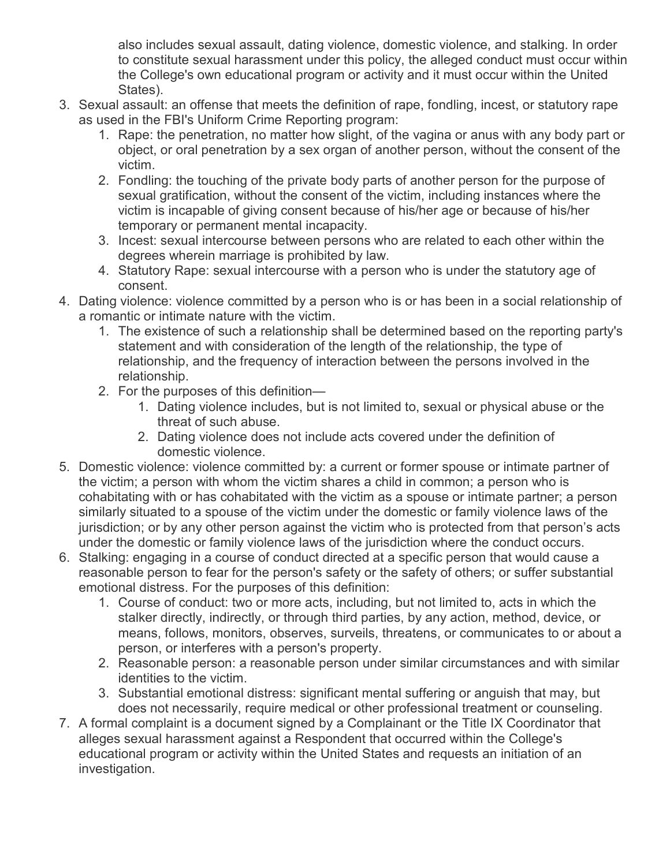also includes sexual assault, dating violence, domestic violence, and stalking. In order to constitute sexual harassment under this policy, the alleged conduct must occur within the College's own educational program or activity and it must occur within the United States).

- 3. Sexual assault: an offense that meets the definition of rape, fondling, incest, or statutory rape as used in the FBI's Uniform Crime Reporting program:
	- 1. Rape: the penetration, no matter how slight, of the vagina or anus with any body part or object, or oral penetration by a sex organ of another person, without the consent of the victim.
	- 2. Fondling: the touching of the private body parts of another person for the purpose of sexual gratification, without the consent of the victim, including instances where the victim is incapable of giving consent because of his/her age or because of his/her temporary or permanent mental incapacity.
	- 3. Incest: sexual intercourse between persons who are related to each other within the degrees wherein marriage is prohibited by law.
	- 4. Statutory Rape: sexual intercourse with a person who is under the statutory age of consent.
- 4. Dating violence: violence committed by a person who is or has been in a social relationship of a romantic or intimate nature with the victim.
	- 1. The existence of such a relationship shall be determined based on the reporting party's statement and with consideration of the length of the relationship, the type of relationship, and the frequency of interaction between the persons involved in the relationship.
	- 2. For the purposes of this definition—
		- 1. Dating violence includes, but is not limited to, sexual or physical abuse or the threat of such abuse.
		- 2. Dating violence does not include acts covered under the definition of domestic violence.
- 5. Domestic violence: violence committed by: a current or former spouse or intimate partner of the victim; a person with whom the victim shares a child in common; a person who is cohabitating with or has cohabitated with the victim as a spouse or intimate partner; a person similarly situated to a spouse of the victim under the domestic or family violence laws of the jurisdiction; or by any other person against the victim who is protected from that person's acts under the domestic or family violence laws of the jurisdiction where the conduct occurs.
- 6. Stalking: engaging in a course of conduct directed at a specific person that would cause a reasonable person to fear for the person's safety or the safety of others; or suffer substantial emotional distress. For the purposes of this definition:
	- 1. Course of conduct: two or more acts, including, but not limited to, acts in which the stalker directly, indirectly, or through third parties, by any action, method, device, or means, follows, monitors, observes, surveils, threatens, or communicates to or about a person, or interferes with a person's property.
	- 2. Reasonable person: a reasonable person under similar circumstances and with similar identities to the victim.
	- 3. Substantial emotional distress: significant mental suffering or anguish that may, but does not necessarily, require medical or other professional treatment or counseling.
- 7. A formal complaint is a document signed by a Complainant or the Title IX Coordinator that alleges sexual harassment against a Respondent that occurred within the College's educational program or activity within the United States and requests an initiation of an investigation.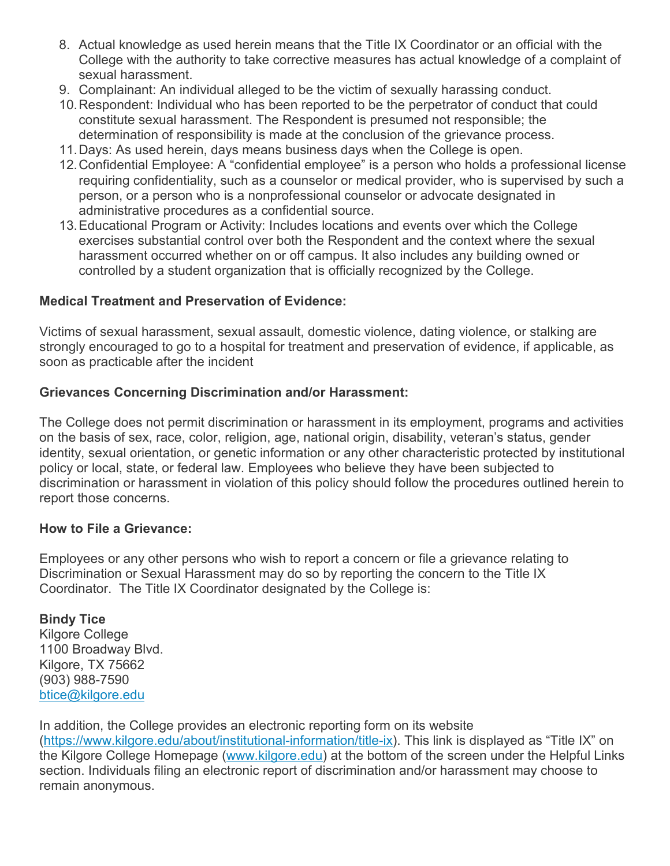- 8. Actual knowledge as used herein means that the Title IX Coordinator or an official with the College with the authority to take corrective measures has actual knowledge of a complaint of sexual harassment.
- 9. Complainant: An individual alleged to be the victim of sexually harassing conduct.
- 10.Respondent: Individual who has been reported to be the perpetrator of conduct that could constitute sexual harassment. The Respondent is presumed not responsible; the determination of responsibility is made at the conclusion of the grievance process.
- 11.Days: As used herein, days means business days when the College is open.
- 12.Confidential Employee: A "confidential employee" is a person who holds a professional license requiring confidentiality, such as a counselor or medical provider, who is supervised by such a person, or a person who is a nonprofessional counselor or advocate designated in administrative procedures as a confidential source.
- 13.Educational Program or Activity: Includes locations and events over which the College exercises substantial control over both the Respondent and the context where the sexual harassment occurred whether on or off campus. It also includes any building owned or controlled by a student organization that is officially recognized by the College.

### **Medical Treatment and Preservation of Evidence:**

Victims of sexual harassment, sexual assault, domestic violence, dating violence, or stalking are strongly encouraged to go to a hospital for treatment and preservation of evidence, if applicable, as soon as practicable after the incident

#### **Grievances Concerning Discrimination and/or Harassment:**

The College does not permit discrimination or harassment in its employment, programs and activities on the basis of sex, race, color, religion, age, national origin, disability, veteran's status, gender identity, sexual orientation, or genetic information or any other characteristic protected by institutional policy or local, state, or federal law. Employees who believe they have been subjected to discrimination or harassment in violation of this policy should follow the procedures outlined herein to report those concerns.

#### **How to File a Grievance:**

Employees or any other persons who wish to report a concern or file a grievance relating to Discrimination or Sexual Harassment may do so by reporting the concern to the Title IX Coordinator. The Title IX Coordinator designated by the College is:

**Bindy Tice** Kilgore College 1100 Broadway Blvd. Kilgore, TX 75662 (903) 988-7590 [btice@kilgore.edu](mailto:%E2%80%8Bbtice@kilgore.edu)

In addition, the College provides an electronic reporting form on its website [\(https://www.kilgore.edu/about/institutional-information/title-ix\)](https://www.kilgore.edu/about/institutional-information/title-ix). This link is displayed as "Title IX" on the Kilgore College Homepage [\(www.kilgore.edu\)](http://www.kilgore.edu/) at the bottom of the screen under the Helpful Links section. Individuals filing an electronic report of discrimination and/or harassment may choose to remain anonymous.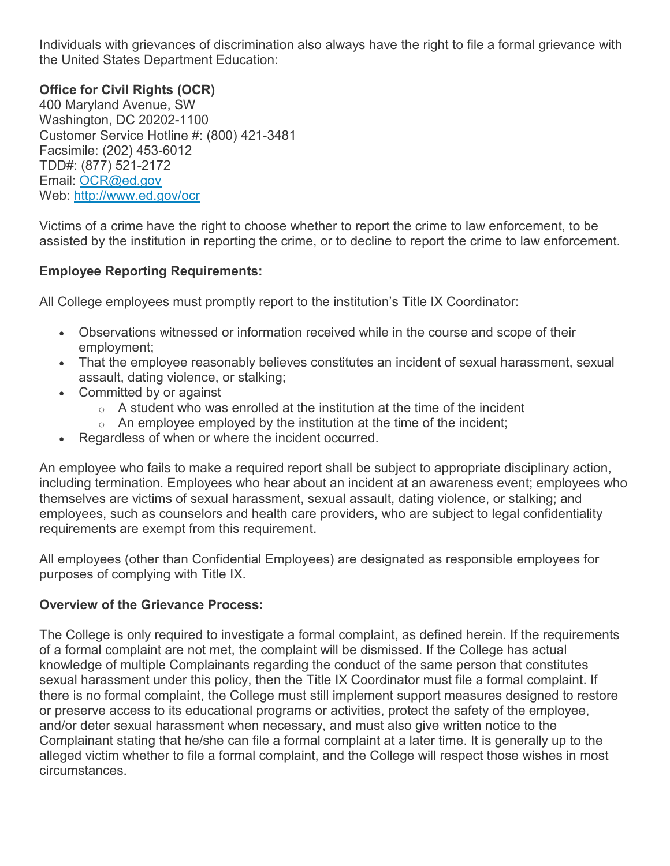Individuals with grievances of discrimination also always have the right to file a formal grievance with the United States Department Education:

# **Office for Civil Rights (OCR)**

400 Maryland Avenue, SW Washington, DC 20202-1100 Customer Service Hotline #: (800) 421-3481 Facsimile: (202) 453-6012 TDD#: (877) 521-2172 Email: [OCR@ed.gov](mailto:OCR@ed.gov) Web: <http://www.ed.gov/ocr>

Victims of a crime have the right to choose whether to report the crime to law enforcement, to be assisted by the institution in reporting the crime, or to decline to report the crime to law enforcement.

### **Employee Reporting Requirements:**

All College employees must promptly report to the institution's Title IX Coordinator:

- Observations witnessed or information received while in the course and scope of their employment;
- That the employee reasonably believes constitutes an incident of sexual harassment, sexual assault, dating violence, or stalking;
- Committed by or against
	- $\circ$  A student who was enrolled at the institution at the time of the incident
	- $\circ$  An employee employed by the institution at the time of the incident;
- Regardless of when or where the incident occurred.

An employee who fails to make a required report shall be subject to appropriate disciplinary action, including termination. Employees who hear about an incident at an awareness event; employees who themselves are victims of sexual harassment, sexual assault, dating violence, or stalking; and employees, such as counselors and health care providers, who are subject to legal confidentiality requirements are exempt from this requirement.

All employees (other than Confidential Employees) are designated as responsible employees for purposes of complying with Title IX.

### **Overview of the Grievance Process:**

The College is only required to investigate a formal complaint, as defined herein. If the requirements of a formal complaint are not met, the complaint will be dismissed. If the College has actual knowledge of multiple Complainants regarding the conduct of the same person that constitutes sexual harassment under this policy, then the Title IX Coordinator must file a formal complaint. If there is no formal complaint, the College must still implement support measures designed to restore or preserve access to its educational programs or activities, protect the safety of the employee, and/or deter sexual harassment when necessary, and must also give written notice to the Complainant stating that he/she can file a formal complaint at a later time. It is generally up to the alleged victim whether to file a formal complaint, and the College will respect those wishes in most circumstances.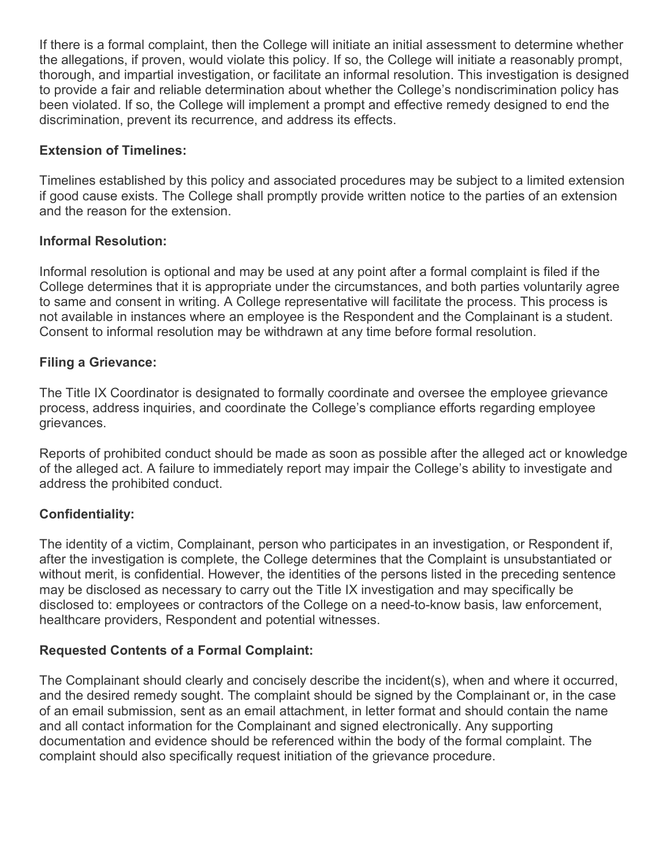If there is a formal complaint, then the College will initiate an initial assessment to determine whether the allegations, if proven, would violate this policy. If so, the College will initiate a reasonably prompt, thorough, and impartial investigation, or facilitate an informal resolution. This investigation is designed to provide a fair and reliable determination about whether the College's nondiscrimination policy has been violated. If so, the College will implement a prompt and effective remedy designed to end the discrimination, prevent its recurrence, and address its effects.

# **Extension of Timelines:**

Timelines established by this policy and associated procedures may be subject to a limited extension if good cause exists. The College shall promptly provide written notice to the parties of an extension and the reason for the extension.

# **Informal Resolution:**

Informal resolution is optional and may be used at any point after a formal complaint is filed if the College determines that it is appropriate under the circumstances, and both parties voluntarily agree to same and consent in writing. A College representative will facilitate the process. This process is not available in instances where an employee is the Respondent and the Complainant is a student. Consent to informal resolution may be withdrawn at any time before formal resolution.

# **Filing a Grievance:**

The Title IX Coordinator is designated to formally coordinate and oversee the employee grievance process, address inquiries, and coordinate the College's compliance efforts regarding employee grievances.

Reports of prohibited conduct should be made as soon as possible after the alleged act or knowledge of the alleged act. A failure to immediately report may impair the College's ability to investigate and address the prohibited conduct.

# **Confidentiality:**

The identity of a victim, Complainant, person who participates in an investigation, or Respondent if, after the investigation is complete, the College determines that the Complaint is unsubstantiated or without merit, is confidential. However, the identities of the persons listed in the preceding sentence may be disclosed as necessary to carry out the Title IX investigation and may specifically be disclosed to: employees or contractors of the College on a need-to-know basis, law enforcement, healthcare providers, Respondent and potential witnesses.

# **Requested Contents of a Formal Complaint:**

The Complainant should clearly and concisely describe the incident(s), when and where it occurred, and the desired remedy sought. The complaint should be signed by the Complainant or, in the case of an email submission, sent as an email attachment, in letter format and should contain the name and all contact information for the Complainant and signed electronically. Any supporting documentation and evidence should be referenced within the body of the formal complaint. The complaint should also specifically request initiation of the grievance procedure.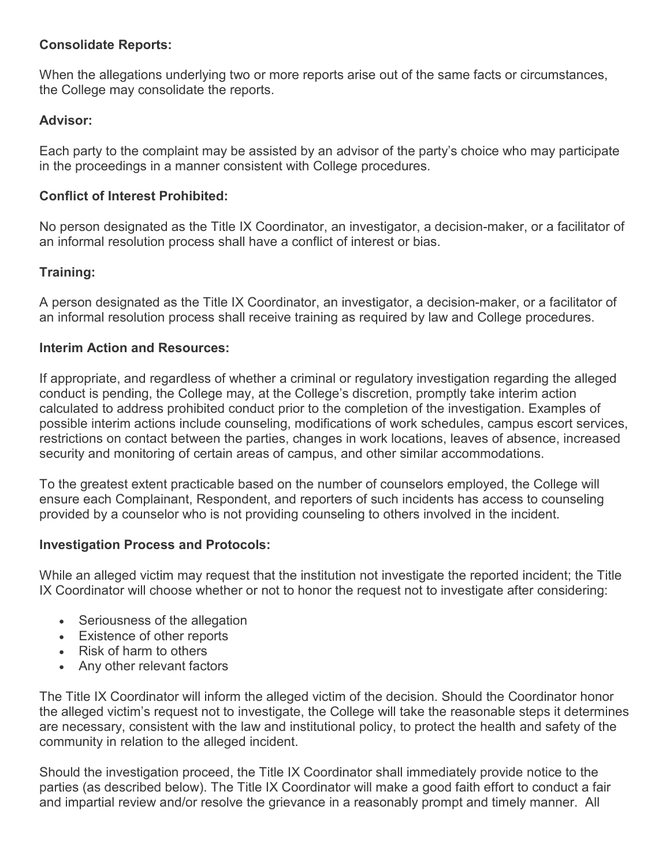#### **Consolidate Reports:**

When the allegations underlying two or more reports arise out of the same facts or circumstances, the College may consolidate the reports.

### **Advisor:**

Each party to the complaint may be assisted by an advisor of the party's choice who may participate in the proceedings in a manner consistent with College procedures.

### **Conflict of Interest Prohibited:**

No person designated as the Title IX Coordinator, an investigator, a decision-maker, or a facilitator of an informal resolution process shall have a conflict of interest or bias.

### **Training:**

A person designated as the Title IX Coordinator, an investigator, a decision-maker, or a facilitator of an informal resolution process shall receive training as required by law and College procedures.

#### **Interim Action and Resources:**

If appropriate, and regardless of whether a criminal or regulatory investigation regarding the alleged conduct is pending, the College may, at the College's discretion, promptly take interim action calculated to address prohibited conduct prior to the completion of the investigation. Examples of possible interim actions include counseling, modifications of work schedules, campus escort services, restrictions on contact between the parties, changes in work locations, leaves of absence, increased security and monitoring of certain areas of campus, and other similar accommodations.

To the greatest extent practicable based on the number of counselors employed, the College will ensure each Complainant, Respondent, and reporters of such incidents has access to counseling provided by a counselor who is not providing counseling to others involved in the incident.

#### **Investigation Process and Protocols:**

While an alleged victim may request that the institution not investigate the reported incident; the Title IX Coordinator will choose whether or not to honor the request not to investigate after considering:

- Seriousness of the allegation
- Existence of other reports
- Risk of harm to others
- Any other relevant factors

The Title IX Coordinator will inform the alleged victim of the decision. Should the Coordinator honor the alleged victim's request not to investigate, the College will take the reasonable steps it determines are necessary, consistent with the law and institutional policy, to protect the health and safety of the community in relation to the alleged incident.

Should the investigation proceed, the Title IX Coordinator shall immediately provide notice to the parties (as described below). The Title IX Coordinator will make a good faith effort to conduct a fair and impartial review and/or resolve the grievance in a reasonably prompt and timely manner. All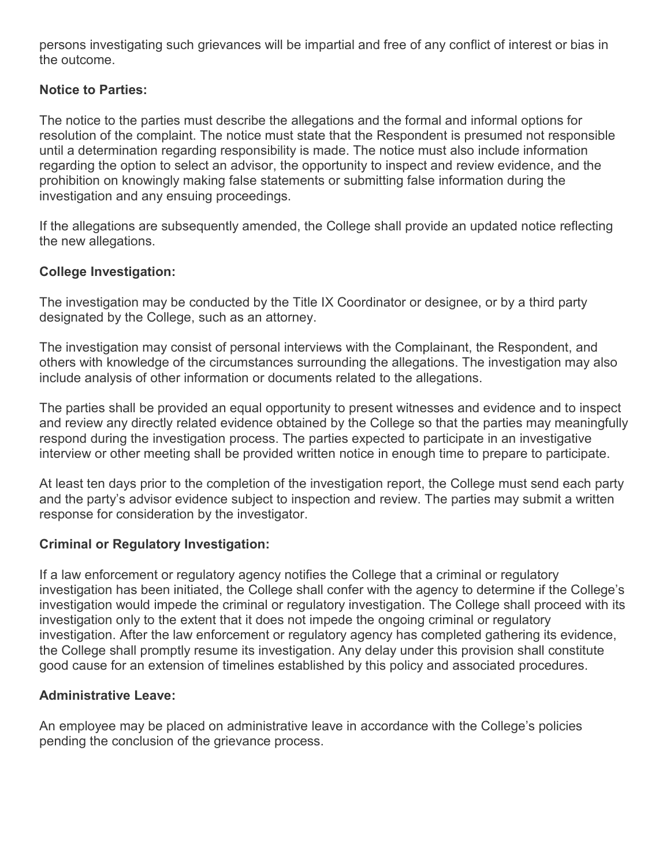persons investigating such grievances will be impartial and free of any conflict of interest or bias in the outcome.

# **Notice to Parties:**

The notice to the parties must describe the allegations and the formal and informal options for resolution of the complaint. The notice must state that the Respondent is presumed not responsible until a determination regarding responsibility is made. The notice must also include information regarding the option to select an advisor, the opportunity to inspect and review evidence, and the prohibition on knowingly making false statements or submitting false information during the investigation and any ensuing proceedings.

If the allegations are subsequently amended, the College shall provide an updated notice reflecting the new allegations.

# **College Investigation:**

The investigation may be conducted by the Title IX Coordinator or designee, or by a third party designated by the College, such as an attorney.

The investigation may consist of personal interviews with the Complainant, the Respondent, and others with knowledge of the circumstances surrounding the allegations. The investigation may also include analysis of other information or documents related to the allegations.

The parties shall be provided an equal opportunity to present witnesses and evidence and to inspect and review any directly related evidence obtained by the College so that the parties may meaningfully respond during the investigation process. The parties expected to participate in an investigative interview or other meeting shall be provided written notice in enough time to prepare to participate.

At least ten days prior to the completion of the investigation report, the College must send each party and the party's advisor evidence subject to inspection and review. The parties may submit a written response for consideration by the investigator.

# **Criminal or Regulatory Investigation:**

If a law enforcement or regulatory agency notifies the College that a criminal or regulatory investigation has been initiated, the College shall confer with the agency to determine if the College's investigation would impede the criminal or regulatory investigation. The College shall proceed with its investigation only to the extent that it does not impede the ongoing criminal or regulatory investigation. After the law enforcement or regulatory agency has completed gathering its evidence, the College shall promptly resume its investigation. Any delay under this provision shall constitute good cause for an extension of timelines established by this policy and associated procedures.

### **Administrative Leave:**

An employee may be placed on administrative leave in accordance with the College's policies pending the conclusion of the grievance process.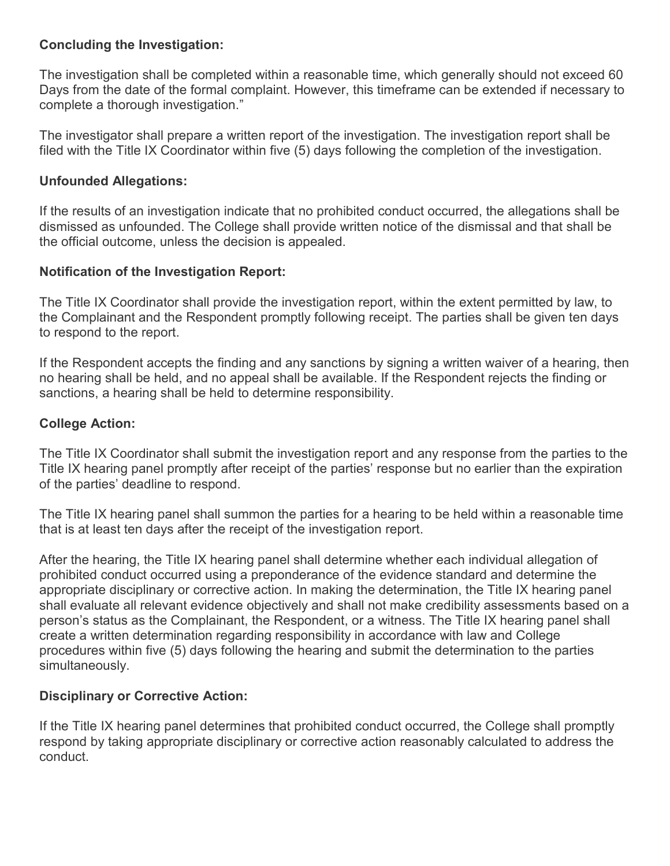### **Concluding the Investigation:**

The investigation shall be completed within a reasonable time, which generally should not exceed 60 Days from the date of the formal complaint. However, this timeframe can be extended if necessary to complete a thorough investigation."

The investigator shall prepare a written report of the investigation. The investigation report shall be filed with the Title IX Coordinator within five (5) days following the completion of the investigation.

#### **Unfounded Allegations:**

If the results of an investigation indicate that no prohibited conduct occurred, the allegations shall be dismissed as unfounded. The College shall provide written notice of the dismissal and that shall be the official outcome, unless the decision is appealed.

#### **Notification of the Investigation Report:**

The Title IX Coordinator shall provide the investigation report, within the extent permitted by law, to the Complainant and the Respondent promptly following receipt. The parties shall be given ten days to respond to the report.

If the Respondent accepts the finding and any sanctions by signing a written waiver of a hearing, then no hearing shall be held, and no appeal shall be available. If the Respondent rejects the finding or sanctions, a hearing shall be held to determine responsibility.

#### **College Action:**

The Title IX Coordinator shall submit the investigation report and any response from the parties to the Title IX hearing panel promptly after receipt of the parties' response but no earlier than the expiration of the parties' deadline to respond.

The Title IX hearing panel shall summon the parties for a hearing to be held within a reasonable time that is at least ten days after the receipt of the investigation report.

After the hearing, the Title IX hearing panel shall determine whether each individual allegation of prohibited conduct occurred using a preponderance of the evidence standard and determine the appropriate disciplinary or corrective action. In making the determination, the Title IX hearing panel shall evaluate all relevant evidence objectively and shall not make credibility assessments based on a person's status as the Complainant, the Respondent, or a witness. The Title IX hearing panel shall create a written determination regarding responsibility in accordance with law and College procedures within five (5) days following the hearing and submit the determination to the parties simultaneously.

#### **Disciplinary or Corrective Action:**

If the Title IX hearing panel determines that prohibited conduct occurred, the College shall promptly respond by taking appropriate disciplinary or corrective action reasonably calculated to address the conduct.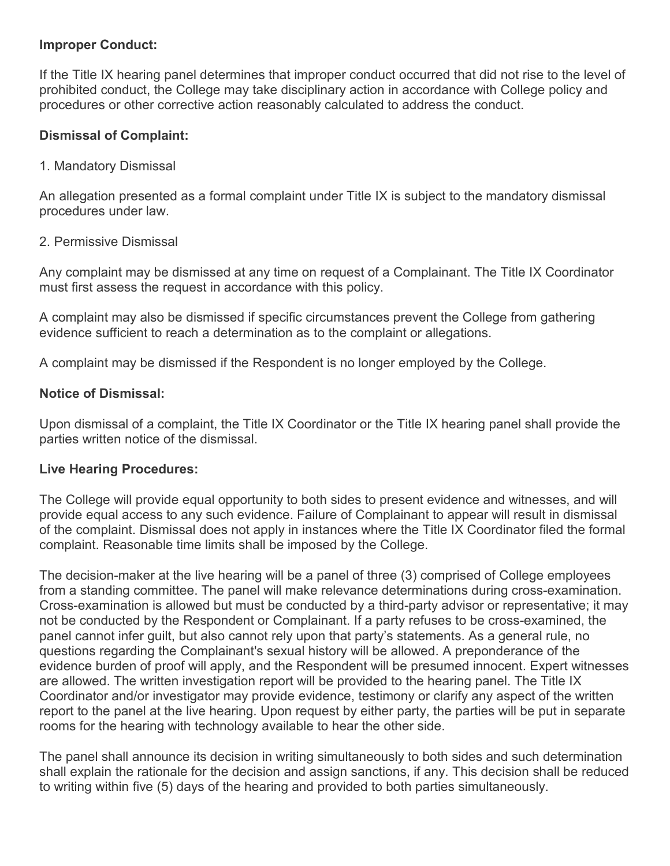#### **Improper Conduct:**

If the Title IX hearing panel determines that improper conduct occurred that did not rise to the level of prohibited conduct, the College may take disciplinary action in accordance with College policy and procedures or other corrective action reasonably calculated to address the conduct.

#### **Dismissal of Complaint:**

#### 1. Mandatory Dismissal

An allegation presented as a formal complaint under Title IX is subject to the mandatory dismissal procedures under law.

#### 2. Permissive Dismissal

Any complaint may be dismissed at any time on request of a Complainant. The Title IX Coordinator must first assess the request in accordance with this policy.

A complaint may also be dismissed if specific circumstances prevent the College from gathering evidence sufficient to reach a determination as to the complaint or allegations.

A complaint may be dismissed if the Respondent is no longer employed by the College.

#### **Notice of Dismissal:**

Upon dismissal of a complaint, the Title IX Coordinator or the Title IX hearing panel shall provide the parties written notice of the dismissal.

#### **Live Hearing Procedures:**

The College will provide equal opportunity to both sides to present evidence and witnesses, and will provide equal access to any such evidence. Failure of Complainant to appear will result in dismissal of the complaint. Dismissal does not apply in instances where the Title IX Coordinator filed the formal complaint. Reasonable time limits shall be imposed by the College.

The decision-maker at the live hearing will be a panel of three (3) comprised of College employees from a standing committee. The panel will make relevance determinations during cross-examination. Cross-examination is allowed but must be conducted by a third-party advisor or representative; it may not be conducted by the Respondent or Complainant. If a party refuses to be cross-examined, the panel cannot infer guilt, but also cannot rely upon that party's statements. As a general rule, no questions regarding the Complainant's sexual history will be allowed. A preponderance of the evidence burden of proof will apply, and the Respondent will be presumed innocent. Expert witnesses are allowed. The written investigation report will be provided to the hearing panel. The Title IX Coordinator and/or investigator may provide evidence, testimony or clarify any aspect of the written report to the panel at the live hearing. Upon request by either party, the parties will be put in separate rooms for the hearing with technology available to hear the other side.

The panel shall announce its decision in writing simultaneously to both sides and such determination shall explain the rationale for the decision and assign sanctions, if any. This decision shall be reduced to writing within five (5) days of the hearing and provided to both parties simultaneously.